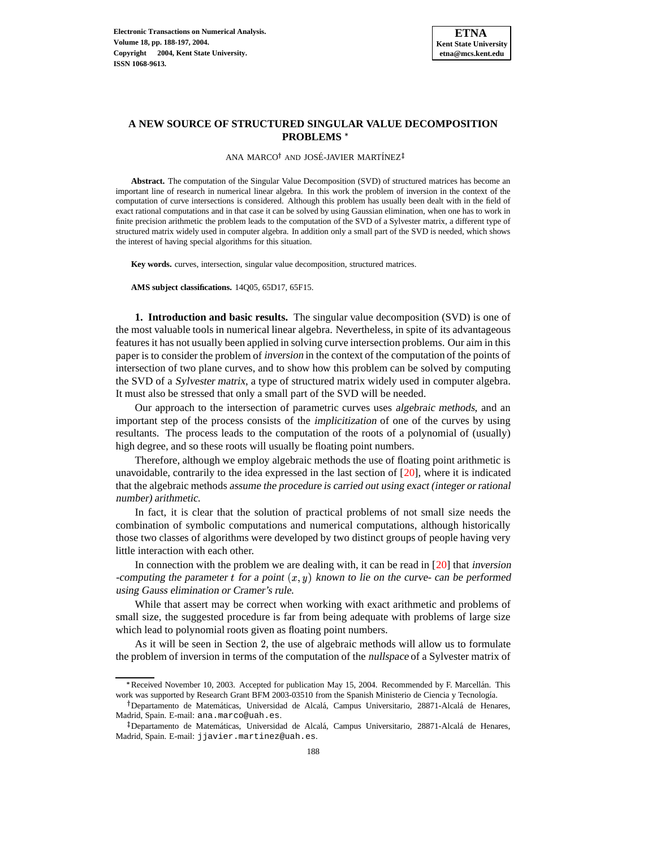

## **A NEW SOURCE OF STRUCTURED SINGULAR VALUE DECOMPOSITION PROBLEMS**

ANA MARCO<sup>†</sup> AND JOSÉ-JAVIER MARTÍNEZ

**Abstract.** The computation of the Singular Value Decomposition (SVD) of structured matrices has become an important line of research in numerical linear algebra. In this work the problem of inversion in the context of the computation of curve intersections is considered. Although this problem has usually been dealt with in the field of exact rational computations and in that case it can be solved by using Gaussian elimination, when one has to work in finite precision arithmetic the problem leads to the computation of the SVD of a Sylvester matrix, a different type of structured matrix widely used in computer algebra. In addition only a small part of the SVD is needed, which shows the interest of having special algorithms for this situation.

**Key words.** curves, intersection, singular value decomposition, structured matrices.

**AMS subject classifications.** 14Q05, 65D17, 65F15.

**1. Introduction and basic results.** The singular value decomposition (SVD) is one of the most valuable tools in numerical linear algebra. Nevertheless, in spite of its advantageous features it has not usually been applied in solving curve intersection problems. Our aim in this paper is to consider the problem of inversion in the context of the computation of the points of intersection of two plane curves, and to show how this problem can be solved by computing the SVD of a Sylvester matrix, a type of structured matrix widely used in computer algebra. It must also be stressed that only a small part of the SVD will be needed.

Our approach to the intersection of parametric curves uses algebraic methods, and an important step of the process consists of the implicitization of one of the curves by using resultants. The process leads to the computation of the roots of a polynomial of (usually) high degree, and so these roots will usually be floating point numbers.

Therefore, although we employ algebraic methods the use of floating point arithmetic is unavoidable, contrarily to the idea expressed in the last section of  $[20]$ , where it is indicated that the algebraic methods assume the procedure is carried out using exact (integer or rational number) arithmetic.

In fact, it is clear that the solution of practical problems of not small size needs the combination of symbolic computations and numerical computations, although historically those two classes of algorithms were developed by two distinct groups of people having very little interaction with each other.

In connection with the problem we are dealing with, it can be read in [\[20\]](#page-9-0) that inversion -computing the parameter t for a point  $(x, y)$  known to lie on the curve- can be performed using Gauss elimination or Cramer's rule.

While that assert may be correct when working with exact arithmetic and problems of small size, the suggested procedure is far from being adequate with problems of large size which lead to polynomial roots given as floating point numbers.

As it will be seen in Section 2, the use of algebraic methods will allow us to formulate the problem of inversion in terms of the computation of the nullspace of a Sylvester matrix of

Received November 10, 2003. Accepted for publication May 15, 2004. Recommended by F. Marcellán. This work was supported by Research Grant BFM 2003-03510 from the Spanish Ministerio de Ciencia y Tecnología.

<sup>&</sup>lt;sup>†</sup> Departamento de Matemáticas, Universidad de Alcalá, Campus Universitario, 28871-Alcalá de Henares, Madrid, Spain. E-mail: ana.marco@uah.es.

<sup>&</sup>lt;sup>‡</sup>Departamento de Matemáticas, Universidad de Alcalá, Campus Universitario, 28871-Alcalá de Henares, Madrid, Spain. E-mail: jjavier.martinez@uah.es.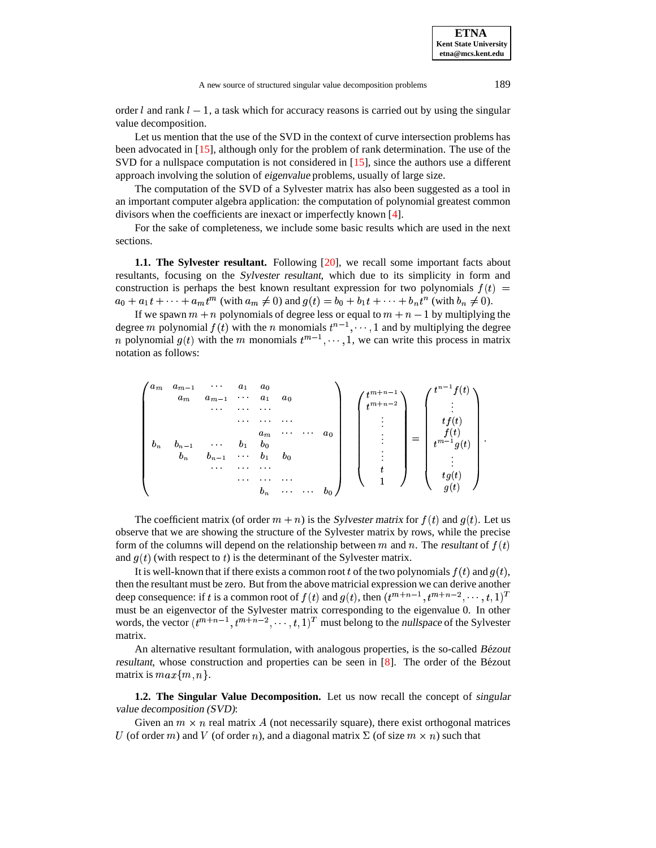order l and rank  $l-1$ , a task which for accuracy reasons is carried out by using the singular value decomposition.

Let us mention that the use of the SVD in the context of curve intersection problems has been advocated in [\[15\]](#page-9-1), although only for the problem of rank determination. The use of the SVD for a nullspace computation is not considered in [\[15\]](#page-9-1), since the authors use a different approach involving the solution of eigenvalue problems, usually of large size.

The computation of the SVD of a Sylvester matrix has also been suggested as a tool in an important computer algebra application: the computation of polynomial greatest common divisors when the coefficients are inexact or imperfectly known [\[4\]](#page-9-2).

For the sake of completeness, we include some basic results which are used in the next sections.

**1.1. The Sylvester resultant.** Following [\[20\]](#page-9-0), we recall some important facts about resultants, focusing on the Sylvester resultant, which due to its simplicity in form and construction is perhaps the best known resultant expression for two polynomials  $f(t)$  =  $a_0 + a_1 t + \cdots + a_m t^m$  (with  $a_m \neq 0$ ) and  $g(t) = b_0 + b_1 t + \cdots + b_n t^n$  (with  $b_n \neq 0$ ).

If we spawn  $m + n$  polynomials of degree less or equal to  $m + n - 1$  by multiplying the degree m polynomial  $f(t)$  with the n monomials  $t^{n-1}, \dots, 1$  and by multiplying the degree *n* polynomial  $g(t)$  with the *m* monomials  $t^{m-1}, \dots, 1$ , we  $, \dots, 1$ , we can write this process in matrix notation as follows:

$$
\begin{pmatrix}\na_m & a_{m-1} & \cdots & a_1 & a_0 \\
a_m & a_{m-1} & \cdots & a_1 & a_0 \\
\vdots & \vdots & \ddots & \vdots & \vdots \\
a_m & b_{n-1} & \cdots & b_1 & b_0 \\
b_n & b_{n-1} & \cdots & b_1 & b_0 \\
\vdots & \vdots & \ddots & \vdots & \vdots \\
\vdots & \vdots & \ddots & \vdots \\
b_n & \cdots & \cdots & b_0\n\end{pmatrix}\n\begin{pmatrix}\nt^{m+n-1} \\
t^{m+n-2} \\
\vdots \\
\vdots \\
t^{m-1}g(t) \\
\vdots \\
\vdots \\
f(t)\n\end{pmatrix}\n=\n\begin{pmatrix}\nt^{n-1}f(t) \\
\vdots \\
tf(t) \\
f(t) \\
\vdots \\
f(g(t)\n\end{pmatrix}
$$

The coefficient matrix (of order  $m + n$ ) is the Sylvester matrix for  $f(t)$  and  $g(t)$ . Let us observe that we are showing the structure of the Sylvester matrix by rows, while the precise form of the columns will depend on the relationship between m and n. The resultant of  $f(t)$ and  $g(t)$  (with respect to t) is the determinant of the Sylvester matrix.

It is well-known that if there exists a common root t of the two polynomials  $f(t)$  and  $g(t)$ , then the resultant must be zero. But from the above matricial expression we can derive another deep consequence: if t is a common root of  $f(t)$  and  $g(t)$ , then  $(t^{m+n-1}, t^{m+n-2}, \dots, t, 1)^T$ must be an eigenvector of the Sylvester matrix corresponding to the eigenvalue 0. In other words, the vector  $(t^{m+n-1}, t^{m+n-2}, \dots, t, 1)^T$  must belong to the nullspace of the Sylvester matrix.

An alternative resultant formulation, with analogous properties, is the so-called Bézout resultant, whose construction and properties can be seen in [\[8\]](#page-9-3). The order of the Bezout ´ matrix is  $max\{m, n\}$ .

**1.2. The Singular Value Decomposition.** Let us now recall the concept of singular value decomposition (SVD):

Given an  $m \times n$  real matrix A (not necessarily square), there exist orthogonal matrices U (of order m) and V (of order n), and a diagonal matrix  $\Sigma$  (of size  $m \times n$ ) such that

<sup>P</sup>

**ETNA Kent State University etna@mcs.kent.edu**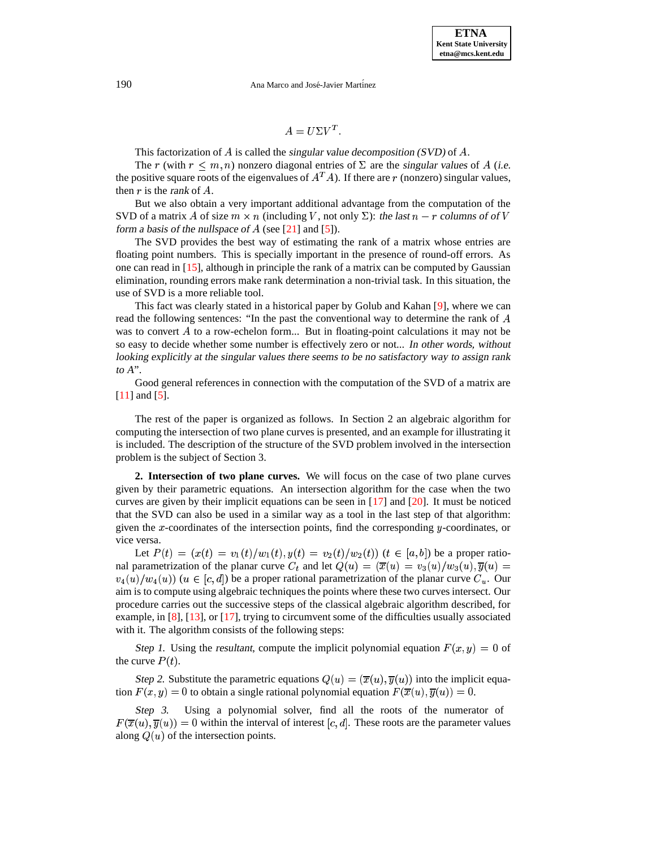## 190 Ana Marco and José-Javier Martínez

## $A = U \Sigma V^{\perp}$ .

This factorization of  $\overline{A}$  is called the singular value decomposition (SVD) of  $\overline{A}$ .

The r (with  $r \leq m, n$ ) nonzero diagonal entries of  $\Sigma$  are the singular values of A (i.e. the positive square roots of the eigenvalues of  $A<sup>T</sup>A$ ). If there are r (nonzero) singular values, then  $r$  is the rank of  $A$ .

But we also obtain a very important additional advantage from the computation of the SVD of a matrix A of size  $m \times n$  (including V, not only  $\Sigma$ ): the last  $n - r$  columns of of V form a basis of the nullspace of  $A$  (see [\[21\]](#page-9-4) and [\[5\]](#page-9-5)).

The SVD provides the best way of estimating the rank of a matrix whose entries are floating point numbers. This is specially important in the presence of round-off errors. As one can read in [\[15\]](#page-9-1), although in principle the rank of a matrix can be computed by Gaussian elimination, rounding errors make rank determination a non-trivial task. In this situation, the use of SVD is a more reliable tool.

This fact was clearly stated in a historical paper by Golub and Kahan [\[9\]](#page-9-6), where we can read the following sentences: "In the past the conventional way to determine the rank of  $\vec{A}$ was to convert  $A$  to a row-echelon form... But in floating-point calculations it may not be so easy to decide whether some number is effectively zero or not... In other words, without looking explicitly at the singular values there seems to be no satisfactory way to assign rank to  $A$ ".

Good general references in connection with the computation of the SVD of a matrix are [\[11\]](#page-9-7) and [\[5\]](#page-9-5).

The rest of the paper is organized as follows. In Section 2 an algebraic algorithm for computing the intersection of two plane curves is presented, and an example for illustrating it is included. The description of the structure of the SVD problem involved in the intersection problem is the subject of Section 3.

**2. Intersection of two plane curves.** We will focus on the case of two plane curves given by their parametric equations. An intersection algorithm for the case when the two curves are given by their implicit equations can be seen in  $[17]$  and  $[20]$ . It must be noticed that the SVD can also be used in a similar way as a tool in the last step of that algorithm: given the  $x$ -coordinates of the intersection points, find the corresponding  $y$ -coordinates, or vice versa.

Let  $P(t) = (x(t) = v_1(t)/w_1(t), y(t) = v_2(t)/w_2(t))$   $(t \in [a, b])$  be a proper rational parametrization of the planar curve  $C_t$  and let  $Q(u) = (\overline{x}(u) = v_3(u)/w_3(u), \overline{y}(u) =$  $(v_4(u)/w_4(u))$   $(u \in [c,d])$  be a proper rational parametrization of the planar curve  $C_u$ . Our aim is to compute using algebraic techniques the points where these two curves intersect. Our procedure carries out the successive steps of the classical algebraic algorithm described, for example, in [\[8\]](#page-9-3), [\[13\]](#page-9-9), or [\[17\]](#page-9-8), trying to circumvent some of the difficulties usually associated with it. The algorithm consists of the following steps:

Step 1. Using the resultant, compute the implicit polynomial equation  $F(x, y) = 0$  of the curve  $P(t)$ .

Step 2. Substitute the parametric equations  $Q(u) = (\overline{x}(u), \overline{y}(u))$  into the implicit equation  $F(x, y) = 0$  to obtain a single rational polynomial equation  $F(\overline{x}(u), \overline{y}(u)) = 0$ .

Step 3. Using a polynomial solver, find all the roots of the numerator of  $F(\overline{x}(u), \overline{y}(u)) = 0$  within the interval of interest [c, d]. These roots are the parameter values along  $Q(u)$  of the intersection points.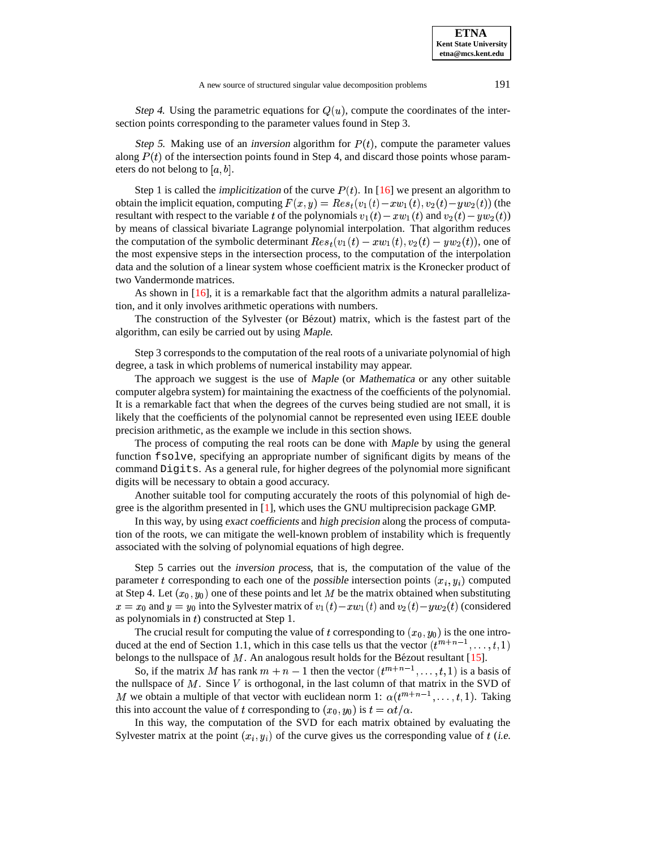Step 4. Using the parametric equations for  $Q(u)$ , compute the coordinates of the intersection points corresponding to the parameter values found in Step 3.

Step 5. Making use of an inversion algorithm for  $P(t)$ , compute the parameter values along  $P(t)$  of the intersection points found in Step 4, and discard those points whose parameters do not belong to  $[a, b]$ .

Step 1 is called the *implicitization* of the curve  $P(t)$ . In [\[16\]](#page-9-10) we present an algorithm to obtain the implicit equation, computing  $F(x, y) = Res<sub>t</sub>(v<sub>1</sub>(t) - xw<sub>1</sub>(t), v<sub>2</sub>(t) - yw<sub>2</sub>(t))$  (the resultant with respect to the variable t of the polynomials  $v_1(t) - x w_1(t)$  and  $v_2(t) - y w_2(t)$ by means of classical bivariate Lagrange polynomial interpolation. That algorithm reduces the computation of the symbolic determinant  $Res_t(v_1(t) - xw_1(t), v_2(t) - yw_2(t))$ , one of the most expensive steps in the intersection process, to the computation of the interpolation data and the solution of a linear system whose coefficient matrix is the Kronecker product of two Vandermonde matrices.

As shown in [\[16\]](#page-9-10), it is a remarkable fact that the algorithm admits a natural parallelization, and it only involves arithmetic operations with numbers.

The construction of the Sylvester (or Bézout) matrix, which is the fastest part of the algorithm, can esily be carried out by using Maple.

Step 3 corresponds to the computation of the real roots of a univariate polynomial of high degree, a task in which problems of numerical instability may appear.

The approach we suggest is the use of *Maple* (or *Mathematica* or any other suitable computer algebra system) for maintaining the exactness of the coefficients of the polynomial. It is a remarkable fact that when the degrees of the curves being studied are not small, it is likely that the coefficients of the polynomial cannot be represented even using IEEE double precision arithmetic, as the example we include in this section shows.

The process of computing the real roots can be done with Maple by using the general function fsolve, specifying an appropriate number of significant digits by means of the command Digits. As a general rule, for higher degrees of the polynomial more significant digits will be necessary to obtain a good accuracy.

Another suitable tool for computing accurately the roots of this polynomial of high degree is the algorithm presented in [\[1\]](#page-8-0), which uses the GNU multiprecision package GMP.

In this way, by using exact coefficients and high precision along the process of computation of the roots, we can mitigate the well-known problem of instability which is frequently associated with the solving of polynomial equations of high degree.

Step 5 carries out the inversion process, that is, the computation of the value of the parameter t corresponding to each one of the possible intersection points  $(x_i, y_i)$  computed at Step 4. Let  $(x_0, y_0)$  one of these points and let M be the matrix obtained when substituting  $x = x_0$  and  $y = y_0$  into the Sylvester matrix of  $v_1(t) - x w_1(t)$  and  $v_2(t) - y w_2(t)$  (considered as polynomials in  $t$ ) constructed at Step 1.

The crucial result for computing the value of t corresponding to  $(x_0, y_0)$  is the one introduced at the end of Section 1.1, which in this case tells us that the vector  $(t^{m+n-1}, \ldots, t, 1)$ belongs to the nullspace of  $M$ . An analogous result holds for the Bézout resultant [\[15\]](#page-9-1).

So, if the matrix M has rank  $m + n - 1$  then the vector  $(t^{m+n-1}, \ldots, t, 1)$  is a basis of the nullspace of  $M$ . Since  $V$  is orthogonal, in the last column of that matrix in the SVD of M we obtain a multiple of that vector with euclidean norm 1:  $\alpha(t^{m+n-1}, \ldots, t, 1)$ . Taking this into account the value of t corresponding to  $(x_0, y_0)$  is  $t = \alpha t/\alpha$ .

In this way, the computation of the SVD for each matrix obtained by evaluating the Sylvester matrix at the point  $(x_i, y_i)$  of the curve gives us the corresponding value of t (i.e.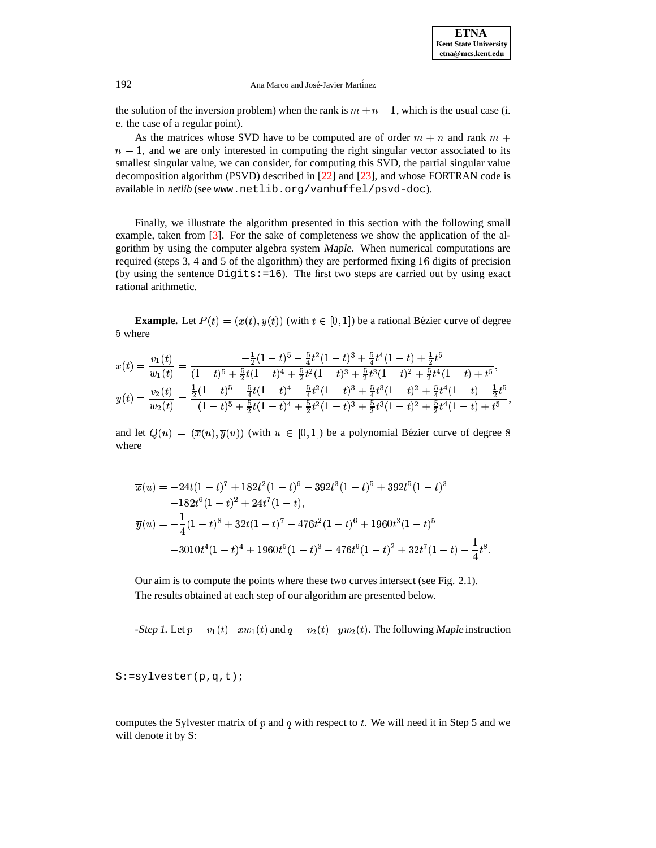## 192 Ana Marco and José-Javier Martínez

the solution of the inversion problem) when the rank is  $m + n - 1$ , which is the usual case (i. e. the case of a regular point).

As the matrices whose SVD have to be computed are of order  $m + n$  and rank  $m +$  $n - 1$ , and we are only interested in computing the right singular vector associated to its smallest singular value, we can consider, for computing this SVD, the partial singular value decomposition algorithm (PSVD) described in [\[22\]](#page-9-11) and [\[23\]](#page-9-12), and whose FORTRAN code is available in netlib (see www.netlib.org/vanhuffel/psvd-doc).

Finally, we illustrate the algorithm presented in this section with the following small example, taken from [\[3\]](#page-9-13). For the sake of completeness we show the application of the algorithm by using the computer algebra system Maple. When numerical computations are required (steps 3, 4 and 5 of the algorithm) they are performed fixing 16 digits of precision (by using the sentence  $Digits:=16$ ). The first two steps are carried out by using exact rational arithmetic.

**Example.** Let  $P(t) = (x(t), y(t))$  (with  $t \in [0, 1]$ ) be a rational Bézier curve of degree -where

$$
x(t) = \frac{v_1(t)}{w_1(t)} = \frac{-\frac{1}{2}(1-t)^5 - \frac{5}{4}t^2(1-t)^3 + \frac{5}{4}t^4(1-t) + \frac{1}{2}t^5}{(1-t)^5 + \frac{5}{2}t(1-t)^4 + \frac{5}{2}t^2(1-t)^3 + \frac{5}{2}t^3(1-t)^2 + \frac{5}{2}t^4(1-t) + t^5},
$$
  

$$
y(t) = \frac{v_2(t)}{w_2(t)} = \frac{\frac{1}{2}(1-t)^5 - \frac{5}{4}t(1-t)^4 - \frac{5}{4}t^2(1-t)^3 + \frac{5}{4}t^3(1-t)^2 + \frac{5}{4}t^4(1-t) - \frac{1}{2}t^5}{(1-t)^5 + \frac{5}{2}t(1-t)^4 + \frac{5}{2}t^2(1-t)^3 + \frac{5}{2}t^3(1-t)^2 + \frac{5}{2}t^4(1-t) + t^5},
$$

and let  $Q(u) = (\overline{x}(u), \overline{y}(u))$  (with  $u \in [0, 1]$ ) be a polynomial Bézier curve of degree 8 where

$$
\overline{x}(u) = -24t(1-t)^7 + 182t^2(1-t)^6 - 392t^3(1-t)^5 + 392t^5(1-t)^3
$$
  
\n
$$
-182t^6(1-t)^2 + 24t^7(1-t),
$$
  
\n
$$
\overline{y}(u) = -\frac{1}{4}(1-t)^8 + 32t(1-t)^7 - 476t^2(1-t)^6 + 1960t^3(1-t)^5
$$
  
\n
$$
-3010t^4(1-t)^4 + 1960t^5(1-t)^3 - 476t^6(1-t)^2 + 32t^7(1-t) - \frac{1}{4}t^8.
$$

Our aim is to compute the points where these two curves intersect (see Fig. 2.1). The results obtained at each step of our algorithm are presented below.

-Step 1. Let  $p = v_1(t) - xw_1(t)$  and  $q = v_2(t) - yw_2(t)$ . The following Maple instruction

S:=sylvester(p,q,t);

computes the Sylvester matrix of  $p$  and  $q$  with respect to  $t$ . We will need it in Step 5 and we will denote it by S: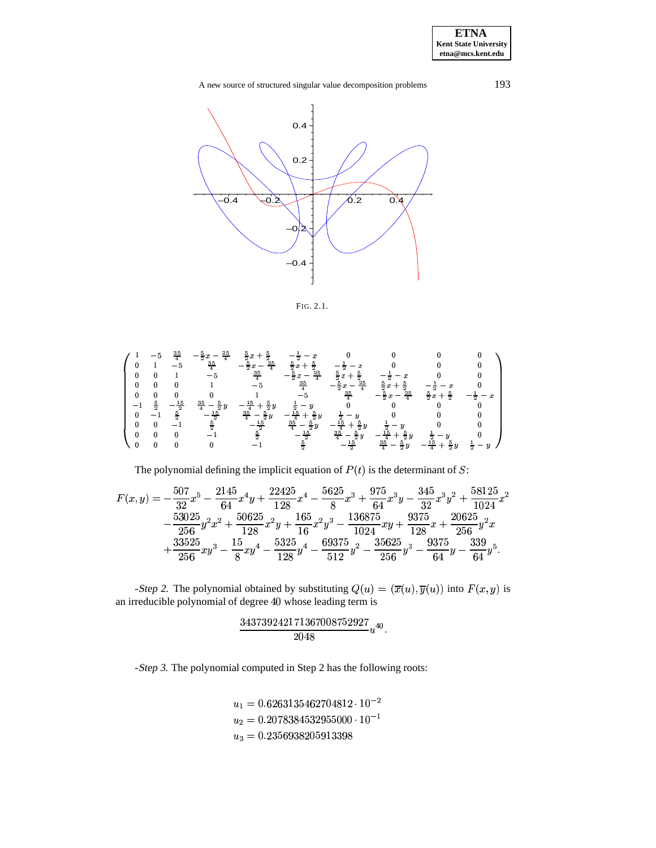# A new source of structured singular value decomposition problems 193



FIG. 2.1.

$$
\left(\begin{array}{ccccccccccccc} 1 & -5 & \frac{35}{4} & -\frac{5}{2}x - \frac{25}{4} & \frac{5}{2}x + \frac{5}{2} & -\frac{1}{2}-x & 0 & 0 & 0 & 0 & 0 \\ 0 & 1 & -5 & \frac{35}{4} & -\frac{5}{2}x - \frac{25}{4} & \frac{5}{2}x + \frac{5}{2} & -\frac{1}{2}-x & 0 & 0 & 0 \\ 0 & 0 & 1 & -5 & \frac{35}{4} & -\frac{5}{2}x - \frac{25}{4} & \frac{5}{2}x + \frac{5}{2} & -\frac{1}{2}-x & 0 & 0 \\ 0 & 0 & 0 & 1 & -5 & \frac{35}{4} & -\frac{5}{2}x - \frac{25}{4} & \frac{5}{2}x + \frac{5}{2} & -\frac{1}{2}-x & 0 \\ 0 & 0 & 0 & 1 & -5 & \frac{35}{4} & -\frac{5}{2}x - \frac{25}{4} & \frac{5}{2}x + \frac{5}{2} & -\frac{1}{2}-x & 0 \\ -1 & \frac{5}{2} & -\frac{15}{2} & \frac{35}{4} - \frac{5}{2}y & -\frac{15}{4} + \frac{5}{2}y & \frac{1}{2}-y & 0 & 0 & 0 & 0 \\ 0 & -1 & \frac{5}{2} & -\frac{15}{2} & \frac{35}{4} - \frac{5}{2}y - \frac{15}{4} + \frac{5}{2}y & \frac{1}{2}-y & 0 & 0 & 0 \\ 0 & 0 & -1 & \frac{5}{2} & -\frac{15}{2} & \frac{35}{4} - \frac{5}{2}y & -\frac{15}{4} + \frac{5}{2}y & \frac{1}{2}-y & 0 & 0 \\ 0 & 0 & 0 & -1 & \frac{5}{2} & -\frac{15}{2} & \frac{35}{4} - \frac{5}{2}y & -\frac{15}{4} + \frac{5}{2}y & \frac{1}{2}-y & 0 \\ 0 & 0 & 0 & 0 & -1 & \frac{5}{2} & -\frac{15}{2} & \frac{35}{4} - \frac{5}{2}y & -\frac{15}{4} + \frac{5
$$

The polynomial defining the implicit equation of  $P(t)$  is the determinant of S:

$$
F(x,y) = -\frac{507}{32}x^5 - \frac{2145}{64}x^4y + \frac{22425}{128}x^4 - \frac{5625}{8}x^3 + \frac{975}{64}x^3y - \frac{345}{32}x^3y^2 + \frac{58125}{1024}x^2 -\frac{53025}{256}y^2x^2 + \frac{50625}{128}x^2y + \frac{165}{16}x^2y^3 - \frac{136875}{1024}xy + \frac{9375}{128}x + \frac{20625}{256}y^2x +\frac{33525}{256}xy^3 - \frac{15}{8}xy^4 - \frac{5325}{128}y^4 - \frac{69375}{512}y^2 - \frac{35625}{256}y^3 - \frac{9375}{64}y - \frac{339}{64}y^5.
$$

-Step 2. The polynomial obtained by substituting  $Q(u) = (\overline{x}(u), \overline{y}(u))$  into  $F(x, y)$  is an irreducible polynomial of degree 40 whose leading term is

$$
\frac{343739242171367008752927}{2048}u^{40}.
$$

-Step <sup>3</sup>. The polynomial computed in Step 2 has the following roots:

$$
\begin{aligned} u_1&=0.6263135462704812\cdot 10^{-2}\\ u_2&=0.2078384532955000\cdot 10^{-1}\\ u_3&=0.2356938205913398 \end{aligned}
$$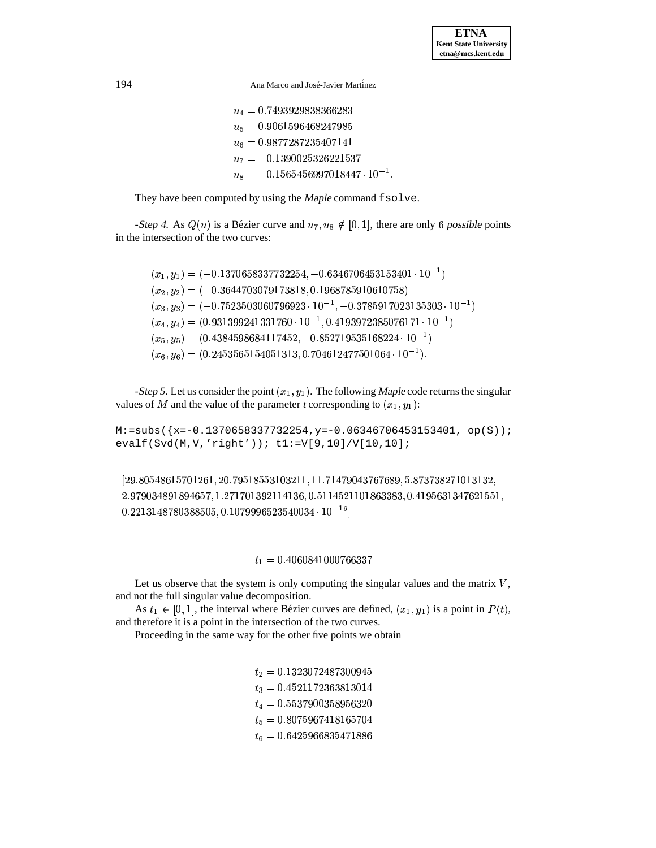194 Ana Marco and José-Javier Martinez

 $u_4 = 0.7493929838366283$  $u_5 = 0.9061596468247985$  $u_6=0.9877287235407141$  $u_7 = -0.1390025326221537$  $u_8 = -0.1565456997018447\cdot 10^{-1}.$ 

They have been computed by using the Maple command fsolve.

-Step 4. As  $Q(u)$  is a Bézier curve and  $u_7, u_8 \notin [0, 1]$ , there are only 6 possible points in the intersection of the two curves:

 $(x_1, y_1) = (-0.1370658337732254, -0.6346706453153401 \cdot 10^{-1})$  $\mathbf{r}$  $(x_2, y_2) = (-0.3644703079173818, 0.1968785910610758)$  $(x_3, y_3) = (-0.7523503060796923 \cdot 10^{-1}, -0.3785917023135303 \cdot 10^{-1})$  $(x_4,y_4)=(0.931399241331760\cdot 10^{-1},0.4193972385076171\cdot 10^{-1})$  $\mathbf{r}$  $(x_5, y_5) = (0.4384598684117452, -0.852719535168224 \cdot 10^{-1})$  $\mathbf{r}$  $(x_6, y_6) = (0.2453565154051313, 0.704612477501064 \cdot 10^{-1}).$  $\cdots$ 

-Step 5. Let us consider the point  $(x_1, y_1)$ . The following Maple code returns the singular values of M and the value of the parameter t corresponding to  $(x_1, y_1)$ :

 $M:=subs({x=-0.1370658337732254, y=-0.06346706453153401, op(S)});$ evalf(Svd(M,V,'right')); t1:=V[9,10]/V[10,10];

```
\left(29.80548615701261, 20.79518553103211, 11.71479043767689, 5.8737382\right)  

,

 -

,       -

- 
-

4 42  7 

-
 4 
 -
-

4 - -

-

2   

 -

-
-,   &
 the contract of the contract of the contract of the contract of
```
## $t_1=0.4000841000700337$

Let us observe that the system is only computing the singular values and the matrix  $V$ , and not the full singular value decomposition.

As  $t_1 \in [0, 1]$ , the interval where Bézier curves are defined,  $(x_1, y_1)$  is a point in  $P(t)$ , and therefore it is a point in the intersection of the two curves.

Proceeding in the same way for the other five points we obtain

 $t_2 = 0.1323072487300945$  $t_3 = 0.4521172363813014$  $t_{4} = 0.5537900358956320$  $t_5 = 0.8075967418165704$  $t_6 = 0.6425966835471886$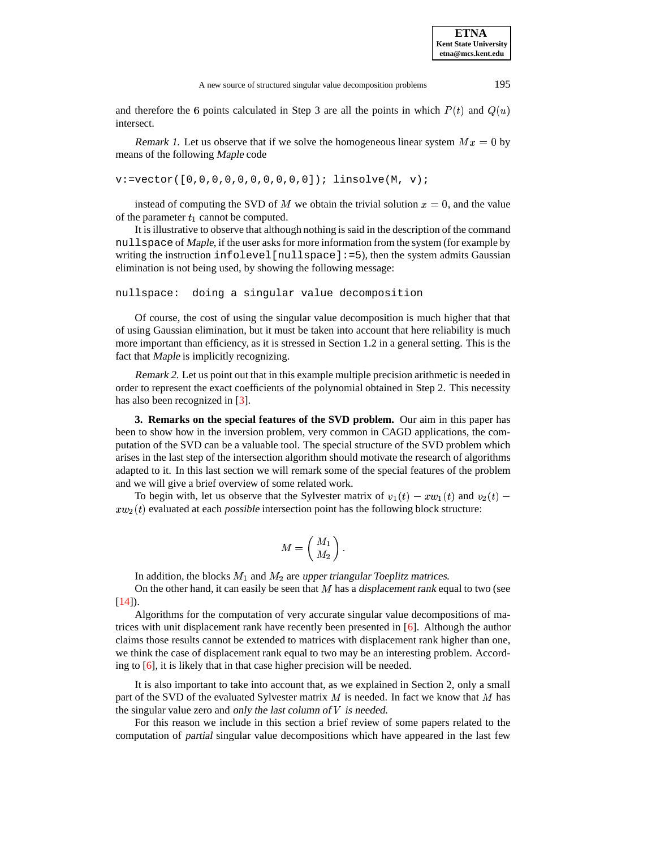and therefore the 6 points calculated in Step 3 are all the points in which  $P(t)$  and  $Q(u)$ intersect.

Remark 1. Let us observe that if we solve the homogeneous linear system  $Mx = 0$  by means of the following Maple code

v:=vector([0,0,0,0,0,0,0,0,0,0]); linsolve(M, v);

instead of computing the SVD of M we obtain the trivial solution  $x = 0$ , and the value of the parameter  $t_1$  cannot be computed.

It is illustrative to observe that although nothing is said in the description of the command nullspace of Maple, if the user asks for more information from the system (for example by writing the instruction infolevel [nullspace]: =5), then the system admits Gaussian elimination is not being used, by showing the following message:

nullspace: doing a singular value decomposition

Of course, the cost of using the singular value decomposition is much higher that that of using Gaussian elimination, but it must be taken into account that here reliability is much more important than efficiency, as it is stressed in Section 1.2 in a general setting. This is the fact that Maple is implicitly recognizing.

Remark 2. Let us point out that in this example multiple precision arithmetic is needed in order to represent the exact coefficients of the polynomial obtained in Step 2. This necessity has also been recognized in [\[3\]](#page-9-13).

**3. Remarks on the special features of the SVD problem.** Our aim in this paper has been to show how in the inversion problem, very common in CAGD applications, the computation of the SVD can be a valuable tool. The special structure of the SVD problem which arises in the last step of the intersection algorithm should motivate the research of algorithms adapted to it. In this last section we will remark some of the special features of the problem and we will give a brief overview of some related work.

To begin with, let us observe that the Sylvester matrix of  $v_1(t) - x w_1(t)$  and  $v_2(t)$   $x w_2(t)$  evaluated at each possible intersection point has the following block structure:

$$
M=\left(\!\!\begin{array}{c}M_1\M_2\end{array}\!\!\right).
$$

In addition, the blocks  $M_1$  and  $M_2$  are upper triangular Toeplitz matrices.

On the other hand, it can easily be seen that  $M$  has a displacement rank equal to two (see  $[14]$ ).

Algorithms for the computation of very accurate singular value decompositions of matrices with unit displacement rank have recently been presented in [\[6\]](#page-9-15). Although the author claims those results cannot be extended to matrices with displacement rank higher than one, we think the case of displacement rank equal to two may be an interesting problem. According to [\[6\]](#page-9-15), it is likely that in that case higher precision will be needed.

It is also important to take into account that, as we explained in Section 2, only a small part of the SVD of the evaluated Sylvester matrix  $M$  is needed. In fact we know that  $M$  has the singular value zero and only the last column of  $V$  is needed.

For this reason we include in this section a brief review of some papers related to the computation of partial singular value decompositions which have appeared in the last few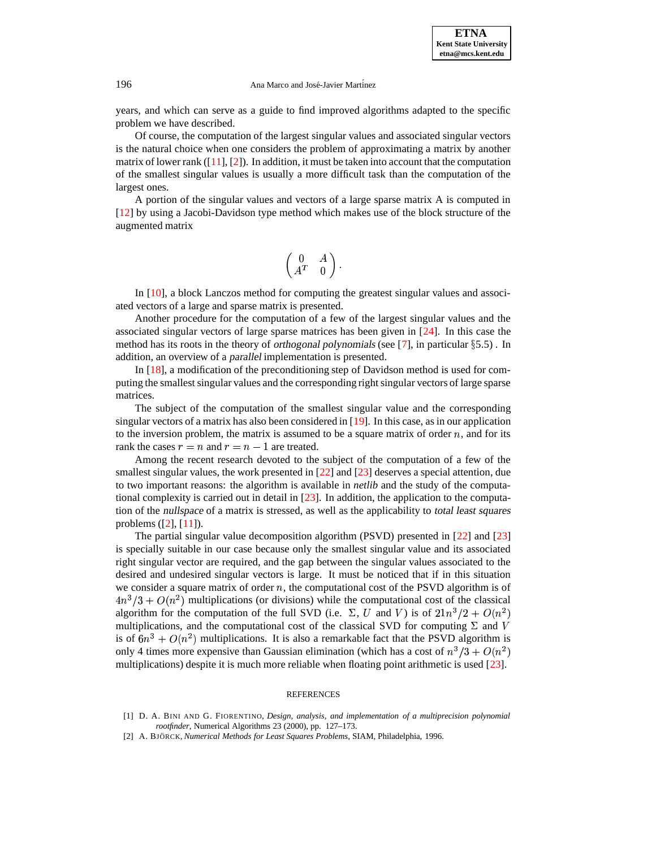### 196 Ana Marco and José-Javier Martinez

years, and which can serve as a guide to find improved algorithms adapted to the specific problem we have described.

Of course, the computation of the largest singular values and associated singular vectors is the natural choice when one considers the problem of approximating a matrix by another matrix of lower rank  $([11], [2])$  $([11], [2])$  $([11], [2])$  $([11], [2])$  $([11], [2])$ . In addition, it must be taken into account that the computation of the smallest singular values is usually a more difficult task than the computation of the largest ones.

A portion of the singular values and vectors of a large sparse matrix A is computed in [\[12\]](#page-9-16) by using a Jacobi-Davidson type method which makes use of the block structure of the augmented matrix

$$
\begin{pmatrix} 0 & A \\ A^T & 0 \end{pmatrix}.
$$

In [\[10\]](#page-9-17), a block Lanczos method for computing the greatest singular values and associated vectors of a large and sparse matrix is presented.

Another procedure for the computation of a few of the largest singular values and the associated singular vectors of large sparse matrices has been given in [\[24\]](#page-9-18). In this case the method has its roots in the theory of *orthogonal polynomials* (see [\[7\]](#page-9-19), in particular  $\S5.5$ ). In addition, an overview of a parallel implementation is presented.

In [\[18\]](#page-9-20), a modification of the preconditioning step of Davidson method is used for computing the smallest singular values and the corresponding right singular vectors of large sparse matrices.

The subject of the computation of the smallest singular value and the corresponding singular vectors of a matrix has also been considered in  $[19]$ . In this case, as in our application to the inversion problem, the matrix is assumed to be a square matrix of order  $n$ , and for its rank the cases  $r = n$  and  $r = n - 1$  are treated.

Among the recent research devoted to the subject of the computation of a few of the smallest singular values, the work presented in [\[22\]](#page-9-11) and [\[23\]](#page-9-12) deserves a special attention, due to two important reasons: the algorithm is available in *netlib* and the study of the computational complexity is carried out in detail in [\[23\]](#page-9-12). In addition, the application to the computation of the nullspace of a matrix is stressed, as well as the applicability to total least squares problems ([\[2\]](#page-8-1), [\[11\]](#page-9-7)).

The partial singular value decomposition algorithm (PSVD) presented in [\[22\]](#page-9-11) and [\[23\]](#page-9-12) is specially suitable in our case because only the smallest singular value and its associated right singular vector are required, and the gap between the singular values associated to the desired and undesired singular vectors is large. It must be noticed that if in this situation we consider a square matrix of order  $n$ , the computational cost of the PSVD algorithm is of  $4n^3/3 + O(n^2)$  multiplications (or divisions) while the computational cost of the classical algorithm for the computation of the full SVD (i.e.  $\Sigma$ , U and V) is of  $21n^3/2 + O(n^2)$ multiplications, and the computational cost of the classical SVD for computing  $\Sigma$  and V is of  $6n^3 + O(n^2)$  multiplications. It is also a remarkable fact that the PSVD algorithm is only 4 times more expensive than Gaussian elimination (which has a cost of  $n^3/3 + O(n^2)$ multiplications) despite it is much more reliable when floating point arithmetic is used [\[23\]](#page-9-12).

#### REFERENCES

- <span id="page-8-0"></span>[1] D. A. BINI AND G. FIORENTINO, *Design, analysis, and implementation of a multiprecision polynomial rootfinder*, Numerical Algorithms 23 (2000), pp. 127–173.
- <span id="page-8-1"></span>[2] A. BJO¨ RCK, *Numerical Methods for Least Squares Problems*, SIAM, Philadelphia, 1996.